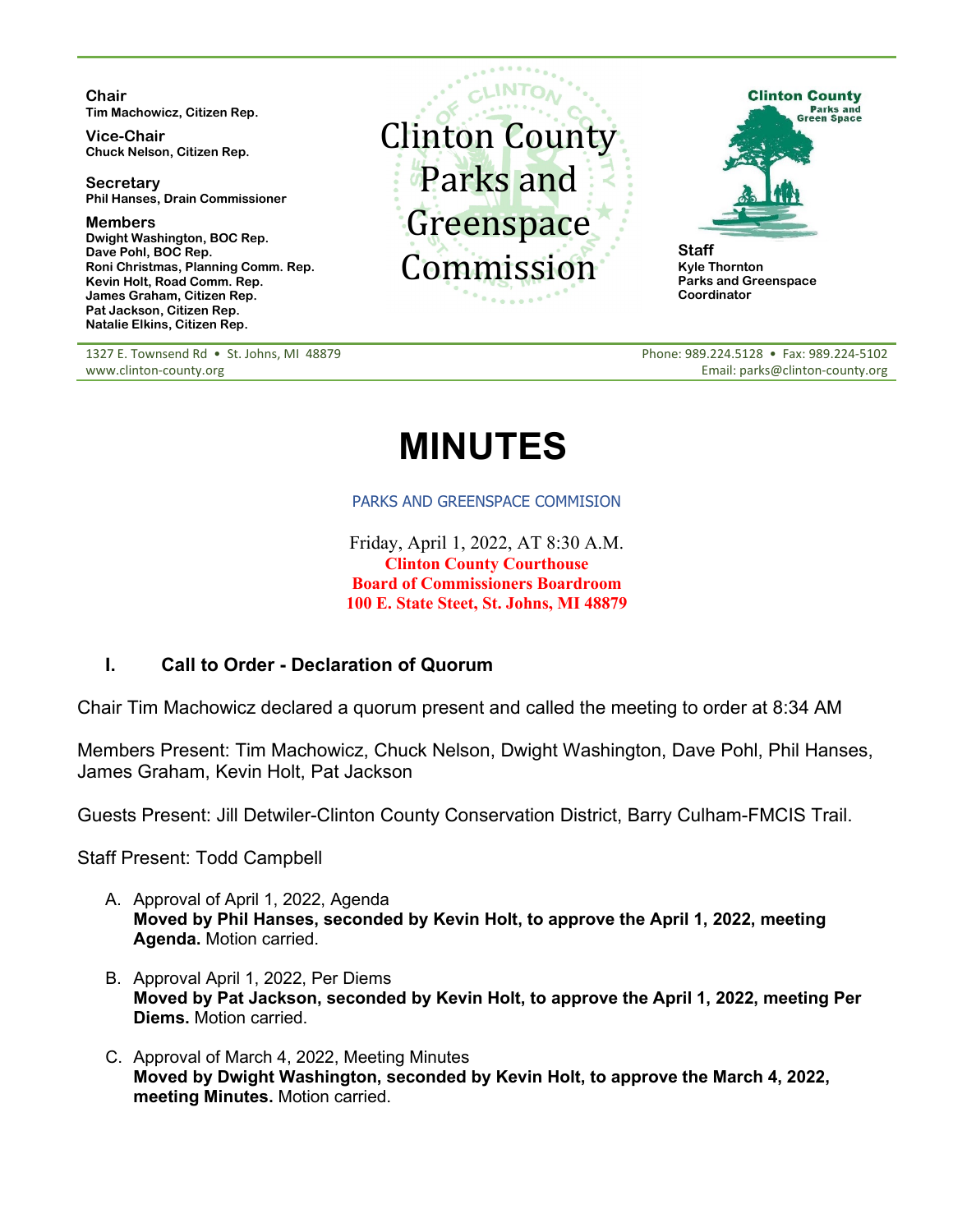**Chair Tim Machowicz, Citizen Rep.**

**Vice-Chair Chuck Nelson, Citizen Rep.**

**Secretary Phil Hanses, Drain Commissioner**

**Members Dwight Washington, BOC Rep. Dave Pohl, BOC Rep. Roni Christmas, Planning Comm. Rep. Kevin Holt, Road Comm. Rep. James Graham, Citizen Rep. Pat Jackson, Citizen Rep. Natalie Elkins, Citizen Rep.**

1327 E. Townsend Rd · St. Johns, MI 48879 www.clinton-county.org





**Kyle Thornton Parks and Greenspace Coordinator**

Phone: 989.224.5128 • Fax: 989.224-5102 Email: parks@clinton-county.org

# **MINUTES**

#### PARKS AND GREENSPACE COMMISION

Friday, April 1, 2022, AT 8:30 A.M. **Clinton County Courthouse Board of Commissioners Boardroom 100 E. State Steet, St. Johns, MI 48879**

# **I. Call to Order - Declaration of Quorum**

Chair Tim Machowicz declared a quorum present and called the meeting to order at 8:34 AM

Members Present: Tim Machowicz, Chuck Nelson, Dwight Washington, Dave Pohl, Phil Hanses, James Graham, Kevin Holt, Pat Jackson

Guests Present: Jill Detwiler-Clinton County Conservation District, Barry Culham-FMCIS Trail.

Staff Present: Todd Campbell

- A. Approval of April 1, 2022, Agenda **Moved by Phil Hanses, seconded by Kevin Holt, to approve the April 1, 2022, meeting Agenda.** Motion carried.
- B. Approval April 1, 2022, Per Diems **Moved by Pat Jackson, seconded by Kevin Holt, to approve the April 1, 2022, meeting Per Diems.** Motion carried.
- C. Approval of March 4, 2022, Meeting Minutes **Moved by Dwight Washington, seconded by Kevin Holt, to approve the March 4, 2022, meeting Minutes.** Motion carried.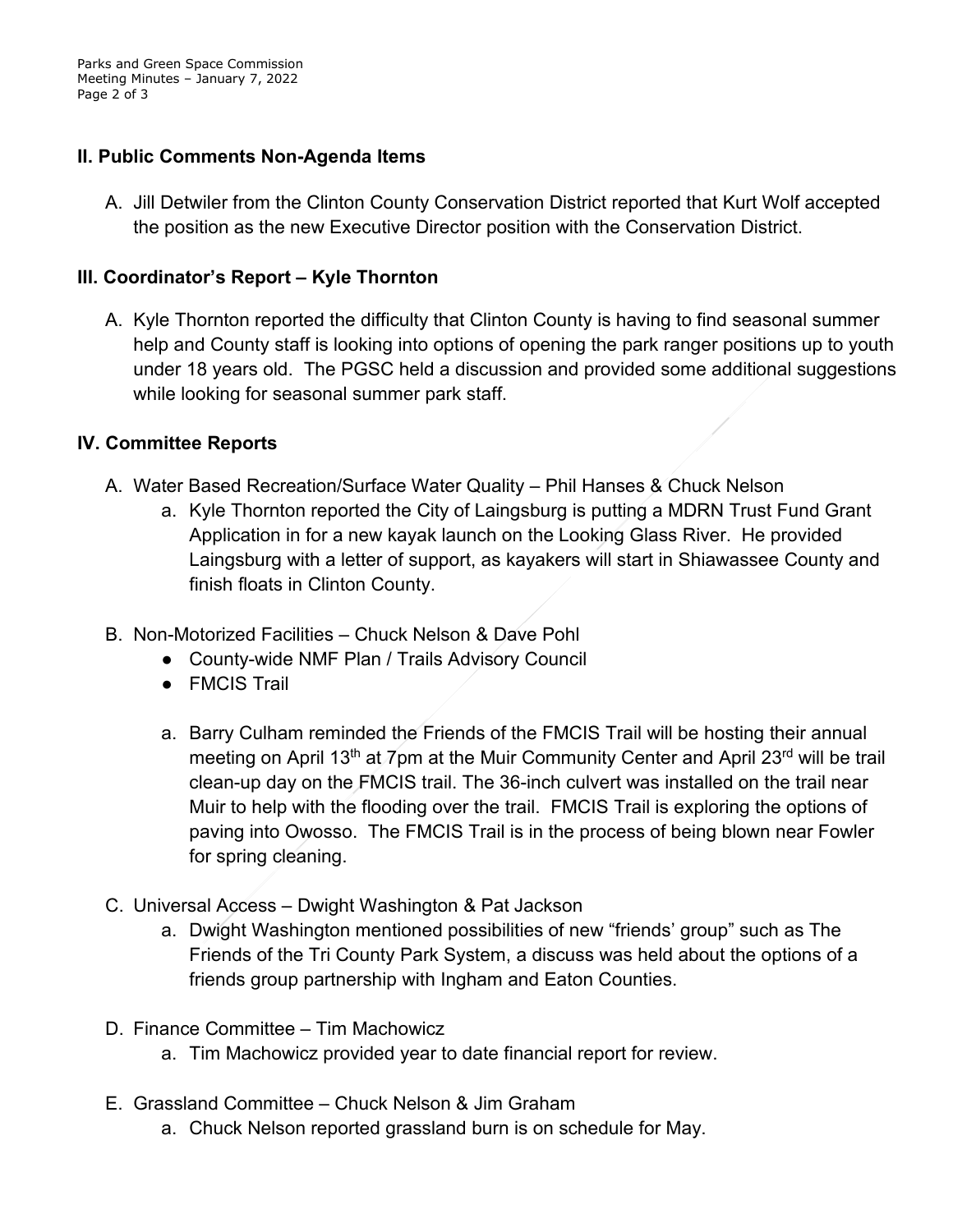Parks and Green Space Commission Meeting Minutes – January 7, 2022 Page 2 of 3

### **II. Public Comments Non-Agenda Items**

A. Jill Detwiler from the Clinton County Conservation District reported that Kurt Wolf accepted the position as the new Executive Director position with the Conservation District.

#### **III. Coordinator's Report – Kyle Thornton**

A. Kyle Thornton reported the difficulty that Clinton County is having to find seasonal summer help and County staff is looking into options of opening the park ranger positions up to youth under 18 years old. The PGSC held a discussion and provided some additional suggestions while looking for seasonal summer park staff.

#### **IV. Committee Reports**

- A. Water Based Recreation/Surface Water Quality Phil Hanses & Chuck Nelson
	- a. Kyle Thornton reported the City of Laingsburg is putting a MDRN Trust Fund Grant Application in for a new kayak launch on the Looking Glass River. He provided Laingsburg with a letter of support, as kayakers will start in Shiawassee County and finish floats in Clinton County.
- B. Non-Motorized Facilities Chuck Nelson & Dave Pohl
	- County-wide NMF Plan / Trails Advisory Council
	- FMCIS Trail
	- a. Barry Culham reminded the Friends of the FMCIS Trail will be hosting their annual meeting on April 13<sup>th</sup> at 7pm at the Muir Community Center and April 23<sup>rd</sup> will be trail clean-up day on the FMCIS trail. The 36-inch culvert was installed on the trail near Muir to help with the flooding over the trail. FMCIS Trail is exploring the options of paving into Owosso. The FMCIS Trail is in the process of being blown near Fowler for spring cleaning.
- C. Universal Access Dwight Washington & Pat Jackson
	- a. Dwight Washington mentioned possibilities of new "friends' group" such as The Friends of the Tri County Park System, a discuss was held about the options of a friends group partnership with Ingham and Eaton Counties.
- D. Finance Committee Tim Machowicz
	- a. Tim Machowicz provided year to date financial report for review.
- E. Grassland Committee Chuck Nelson & Jim Graham
	- a. Chuck Nelson reported grassland burn is on schedule for May.